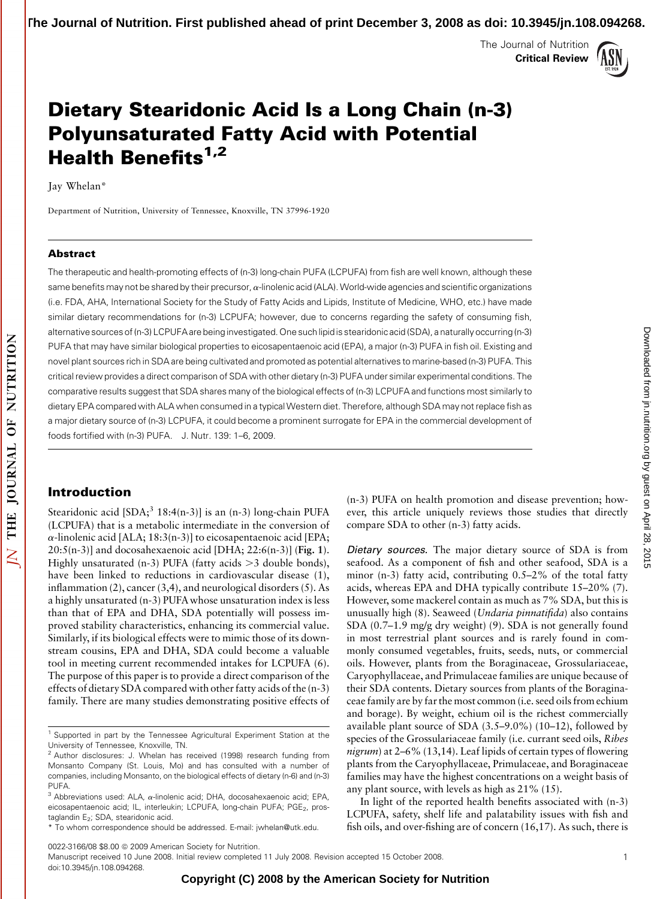The Journal of Nutrition Critical Review



# Dietary Stearidonic Acid Is a Long Chain (n-3) Polyunsaturated Fatty Acid with Potential Health Benefits $1,2$

Jay Whelan\*

Department of Nutrition, University of Tennessee, Knoxville, TN 37996-1920

#### Abstract

The therapeutic and health-promoting effects of (n-3) long-chain PUFA (LCPUFA) from fish are well known, although these same benefits may not be shared by their precursor,  $\alpha$ -linolenic acid (ALA). World-wide agencies and scientific organizations (i.e. FDA, AHA, International Society for the Study of Fatty Acids and Lipids, Institute of Medicine, WHO, etc.) have made similar dietary recommendations for (n-3) LCPUFA; however, due to concerns regarding the safety of consuming fish, alternative sources of (n-3) LCPUFA are being investigated. One such lipid is stearidonic acid (SDA), a naturally occurring(n-3) PUFA that may have similar biological properties to eicosapentaenoic acid (EPA), a major (n-3) PUFA in fish oil. Existing and novel plant sources rich in SDA are being cultivated and promoted as potential alternatives to marine-based (n-3) PUFA. This critical review provides a direct comparison of SDA with other dietary (n-3) PUFA under similar experimental conditions. The comparative results suggest that SDA shares many of the biological effects of (n-3) LCPUFA and functions most similarly to dietary EPA compared with ALA when consumed in a typicalWestern diet. Therefore, although SDA may not replace fish as a major dietary source of (n-3) LCPUFA, it could become a prominent surrogate for EPA in the commercial development of foods fortified with (n-3) PUFA. J. Nutr. 139: 1–6, 2009.

## Introduction

Stearidonic acid  $[SDA; <sup>3</sup> 18:4(n-3)]$  is an  $(n-3)$  long-chain PUFA (LCPUFA) that is a metabolic intermediate in the conversion of  $\alpha$ -linolenic acid [ALA; 18:3(n-3)] to eicosapentaenoic acid [EPA;  $20:5(n-3)$ ] and docosahexaenoic acid [DHA;  $22:6(n-3)$ ] (Fig. 1). Highly unsaturated (n-3) PUFA (fatty acids  $>$ 3 double bonds), have been linked to reductions in cardiovascular disease (1), inflammation (2), cancer (3,4), and neurological disorders (5). As a highly unsaturated (n-3) PUFAwhose unsaturation index is less than that of EPA and DHA, SDA potentially will possess improved stability characteristics, enhancing its commercial value. Similarly, if its biological effects were to mimic those of its downstream cousins, EPA and DHA, SDA could become a valuable tool in meeting current recommended intakes for LCPUFA (6). The purpose of this paper is to provide a direct comparison of the effects of dietary SDA compared with other fatty acids of the (n-3) family. There are many studies demonstrating positive effects of

(n-3) PUFA on health promotion and disease prevention; however, this article uniquely reviews those studies that directly compare SDA to other (n-3) fatty acids.

Dietary sources. The major dietary source of SDA is from seafood. As a component of fish and other seafood, SDA is a minor (n-3) fatty acid, contributing 0.5–2% of the total fatty acids, whereas EPA and DHA typically contribute 15–20% (7). However, some mackerel contain as much as 7% SDA, but this is unusually high (8). Seaweed (Undaria pinnatifida) also contains SDA (0.7–1.9 mg/g dry weight) (9). SDA is not generally found in most terrestrial plant sources and is rarely found in commonly consumed vegetables, fruits, seeds, nuts, or commercial oils. However, plants from the Boraginaceae, Grossulariaceae, Caryophyllaceae, and Primulaceae families are unique because of their SDA contents. Dietary sources from plants of the Boraginaceae family are by far the most common (i.e. seed oils from echium and borage). By weight, echium oil is the richest commercially available plant source of SDA (3.5–9.0%) (10–12), followed by species of the Grossulariaceae family (*i.e.* currant seed oils, *Ribes nigrum*) at  $2-6\%$  (13,14). Leaf lipids of certain types of flowering plants from the Caryophyllaceae, Primulaceae, and Boraginaceae families may have the highest concentrations on a weight basis of any plant source, with levels as high as 21% (15).

In light of the reported health benefits associated with (n-3) LCPUFA, safety, shelf life and palatability issues with fish and fish oils, and over-fishing are of concern (16,17). As such, there is

Manuscript received 10 June 2008. Initial review completed 11 July 2008. Revision accepted 15 October 2008. doi:10.3945/jn.108.094268.

<sup>&</sup>lt;sup>1</sup> Supported in part by the Tennessee Agricultural Experiment Station at the University of Tennessee, Knoxville, TN.

<sup>&</sup>lt;sup>2</sup> Author disclosures: J. Whelan has received (1998) research funding from Monsanto Company (St. Louis, Mo) and has consulted with a number of companies, including Monsanto, on the biological effects of dietary (n-6) and (n-3) PUFA.

 $3$  Abbreviations used: ALA,  $\alpha$ -linolenic acid; DHA, docosahexaenoic acid; EPA, eicosapentaenoic acid; IL, interleukin; LCPUFA, long-chain PUFA; PGE<sub>2</sub>, prostaglandin E<sub>2</sub>; SDA, stearidonic acid.

<sup>\*</sup> To whom correspondence should be addressed. E-mail: jwhelan@utk.edu.

<sup>0022-3166/08 \$8.00 @ 2009</sup> American Society for Nutrition.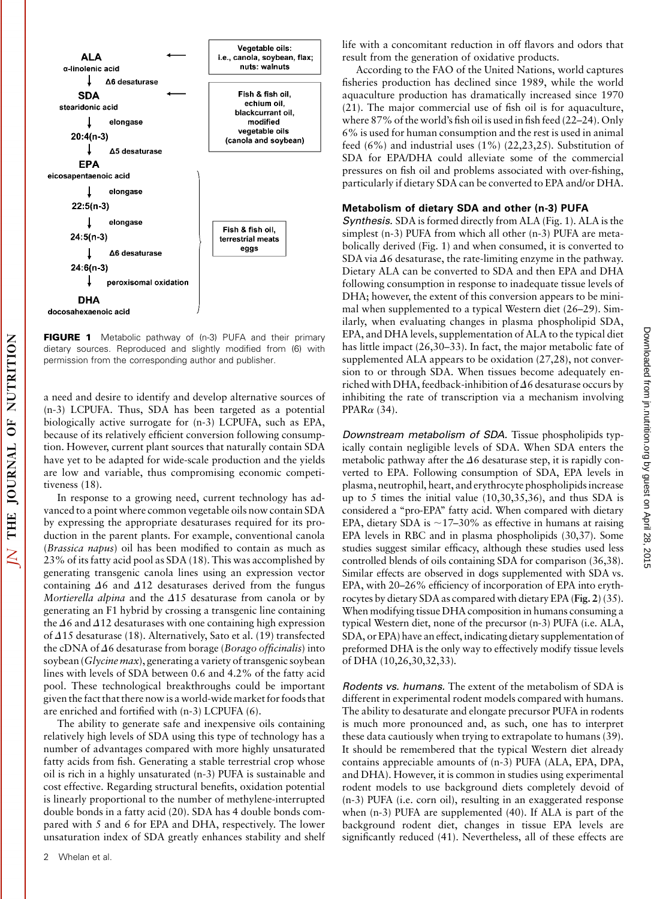

**FIGURE 1** Metabolic pathway of (n-3) PUFA and their primary dietary sources. Reproduced and slightly modified from (6) with permission from the corresponding author and publisher.

a need and desire to identify and develop alternative sources of (n-3) LCPUFA. Thus, SDA has been targeted as a potential biologically active surrogate for (n-3) LCPUFA, such as EPA, because of its relatively efficient conversion following consumption. However, current plant sources that naturally contain SDA have yet to be adapted for wide-scale production and the yields are low and variable, thus compromising economic competitiveness (18).

In response to a growing need, current technology has advanced to a point where common vegetable oils now contain SDA by expressing the appropriate desaturases required for its production in the parent plants. For example, conventional canola (Brassica napus) oil has been modified to contain as much as 23% of its fatty acid pool as SDA (18). This was accomplished by generating transgenic canola lines using an expression vector containing  $\Delta 6$  and  $\Delta 12$  desaturases derived from the fungus Mortierella alpina and the  $\Delta 15$  desaturase from canola or by generating an F1 hybrid by crossing a transgenic line containing the  $\Delta 6$  and  $\Delta 12$  desaturases with one containing high expression of  $\Delta$ 15 desaturase (18). Alternatively, Sato et al. (19) transfected the cDNA of  $\Delta 6$  desaturase from borage (Borago officinalis) into soybean (Glycine max), generating a variety of transgenic soybean lines with levels of SDA between 0.6 and 4.2% of the fatty acid pool. These technological breakthroughs could be important given the fact that there now is a world-wide market for foods that are enriched and fortified with (n-3) LCPUFA (6).

The ability to generate safe and inexpensive oils containing relatively high levels of SDA using this type of technology has a number of advantages compared with more highly unsaturated fatty acids from fish. Generating a stable terrestrial crop whose oil is rich in a highly unsaturated (n-3) PUFA is sustainable and cost effective. Regarding structural benefits, oxidation potential is linearly proportional to the number of methylene-interrupted double bonds in a fatty acid (20). SDA has 4 double bonds compared with 5 and 6 for EPA and DHA, respectively. The lower unsaturation index of SDA greatly enhances stability and shelf

NUTRITION

**OF** 

**JOURNAL** 

THE

 $\overline{\Delta}$ 

life with a concomitant reduction in off flavors and odors that result from the generation of oxidative products.

According to the FAO of the United Nations, world captures fisheries production has declined since 1989, while the world aquaculture production has dramatically increased since 1970 (21). The major commercial use of fish oil is for aquaculture, where 87% of the world's fish oil is used in fish feed (22–24). Only 6% is used for human consumption and the rest is used in animal feed (6%) and industrial uses (1%) (22,23,25). Substitution of SDA for EPA/DHA could alleviate some of the commercial pressures on fish oil and problems associated with over-fishing, particularly if dietary SDA can be converted to EPA and/or DHA.

### Metabolism of dietary SDA and other (n-3) PUFA

Synthesis. SDA is formed directly from ALA (Fig. 1). ALA is the simplest (n-3) PUFA from which all other (n-3) PUFA are metabolically derived (Fig. 1) and when consumed, it is converted to SDA via  $\Delta 6$  desaturase, the rate-limiting enzyme in the pathway. Dietary ALA can be converted to SDA and then EPA and DHA following consumption in response to inadequate tissue levels of DHA; however, the extent of this conversion appears to be minimal when supplemented to a typical Western diet (26–29). Similarly, when evaluating changes in plasma phospholipid SDA, EPA, and DHA levels, supplementation of ALA to the typical diet has little impact (26,30–33). In fact, the major metabolic fate of supplemented ALA appears to be oxidation (27,28), not conversion to or through SDA. When tissues become adequately enriched with DHA, feedback-inhibition of  $\Delta 6$  desaturase occurs by inhibiting the rate of transcription via a mechanism involving PPAR $\alpha$  (34).

Downstream metabolism of SDA. Tissue phospholipids typically contain negligible levels of SDA. When SDA enters the metabolic pathway after the  $\Delta 6$  desaturase step, it is rapidly converted to EPA. Following consumption of SDA, EPA levels in plasma, neutrophil, heart, and erythrocyte phospholipids increase up to 5 times the initial value (10,30,35,36), and thus SDA is considered a ''pro-EPA'' fatty acid. When compared with dietary EPA, dietary SDA is  $\sim$ 17–30% as effective in humans at raising EPA levels in RBC and in plasma phospholipids (30,37). Some studies suggest similar efficacy, although these studies used less controlled blends of oils containing SDA for comparison (36,38). Similar effects are observed in dogs supplemented with SDA vs. EPA, with 20–26% efficiency of incorporation of EPA into erythrocytes by dietary SDA as compared with dietary EPA (Fig. 2) (35). When modifying tissue DHA composition in humans consuming a typical Western diet, none of the precursor (n-3) PUFA (i.e. ALA, SDA, or EPA) have an effect, indicating dietary supplementation of preformed DHA is the only way to effectively modify tissue levels of DHA (10,26,30,32,33).

Rodents vs. humans. The extent of the metabolism of SDA is different in experimental rodent models compared with humans. The ability to desaturate and elongate precursor PUFA in rodents is much more pronounced and, as such, one has to interpret these data cautiously when trying to extrapolate to humans (39). It should be remembered that the typical Western diet already contains appreciable amounts of (n-3) PUFA (ALA, EPA, DPA, and DHA). However, it is common in studies using experimental rodent models to use background diets completely devoid of (n-3) PUFA (i.e. corn oil), resulting in an exaggerated response when (n-3) PUFA are supplemented (40). If ALA is part of the background rodent diet, changes in tissue EPA levels are significantly reduced (41). Nevertheless, all of these effects are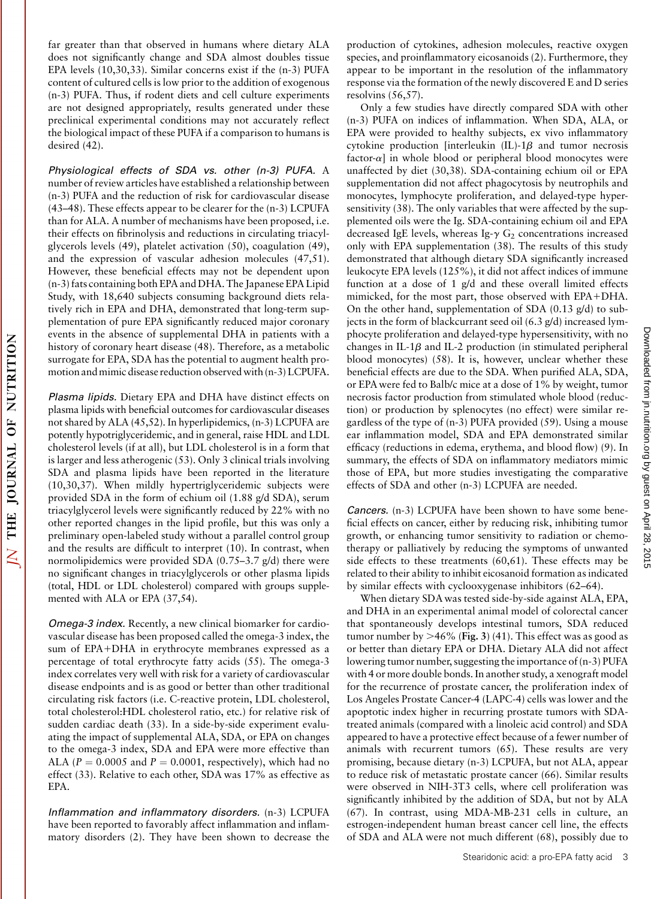$\overline{\Delta}$ 

far greater than that observed in humans where dietary ALA does not significantly change and SDA almost doubles tissue EPA levels (10,30,33). Similar concerns exist if the (n-3) PUFA content of cultured cells is low prior to the addition of exogenous (n-3) PUFA. Thus, if rodent diets and cell culture experiments are not designed appropriately, results generated under these preclinical experimental conditions may not accurately reflect the biological impact of these PUFA if a comparison to humans is desired (42).

Physiological effects of SDA vs. other (n-3) PUFA. A number of review articles have established a relationship between (n-3) PUFA and the reduction of risk for cardiovascular disease (43–48). These effects appear to be clearer for the (n-3) LCPUFA than for ALA. A number of mechanisms have been proposed, i.e. their effects on fibrinolysis and reductions in circulating triacylglycerols levels (49), platelet activation (50), coagulation (49), and the expression of vascular adhesion molecules (47,51). However, these beneficial effects may not be dependent upon (n-3) fats containing both EPA and DHA. The Japanese EPA Lipid Study, with 18,640 subjects consuming background diets relatively rich in EPA and DHA, demonstrated that long-term supplementation of pure EPA significantly reduced major coronary events in the absence of supplemental DHA in patients with a history of coronary heart disease (48). Therefore, as a metabolic surrogate for EPA, SDA has the potential to augment health promotion and mimic disease reduction observed with (n-3) LCPUFA.

Plasma lipids. Dietary EPA and DHA have distinct effects on plasma lipids with beneficial outcomes for cardiovascular diseases not shared by ALA (45,52). In hyperlipidemics, (n-3) LCPUFA are potently hypotriglyceridemic, and in general, raise HDL and LDL cholesterol levels (if at all), but LDL cholesterol is in a form that is larger and less atherogenic (53). Only 3 clinical trials involving SDA and plasma lipids have been reported in the literature (10,30,37). When mildly hypertriglyceridemic subjects were provided SDA in the form of echium oil (1.88 g/d SDA), serum triacylglycerol levels were significantly reduced by 22% with no other reported changes in the lipid profile, but this was only a preliminary open-labeled study without a parallel control group and the results are difficult to interpret (10). In contrast, when normolipidemics were provided SDA (0.75–3.7 g/d) there were no significant changes in triacylglycerols or other plasma lipids (total, HDL or LDL cholesterol) compared with groups supplemented with ALA or EPA (37,54).

Omega-3 index. Recently, a new clinical biomarker for cardiovascular disease has been proposed called the omega-3 index, the sum of EPA+DHA in erythrocyte membranes expressed as a percentage of total erythrocyte fatty acids (55). The omega-3 index correlates very well with risk for a variety of cardiovascular disease endpoints and is as good or better than other traditional circulating risk factors (i.e. C-reactive protein, LDL cholesterol, total cholesterol:HDL cholesterol ratio, etc.) for relative risk of sudden cardiac death (33). In a side-by-side experiment evaluating the impact of supplemental ALA, SDA, or EPA on changes to the omega-3 index, SDA and EPA were more effective than ALA ( $P = 0.0005$  and  $P = 0.0001$ , respectively), which had no effect (33). Relative to each other, SDA was 17% as effective as EPA.

Inflammation and inflammatory disorders. (n-3) LCPUFA have been reported to favorably affect inflammation and inflammatory disorders (2). They have been shown to decrease the production of cytokines, adhesion molecules, reactive oxygen species, and proinflammatory eicosanoids (2). Furthermore, they appear to be important in the resolution of the inflammatory response via the formation of the newly discovered E and D series resolvins (56,57).

Only a few studies have directly compared SDA with other (n-3) PUFA on indices of inflammation. When SDA, ALA, or EPA were provided to healthy subjects, ex vivo inflammatory cytokine production [interleukin  $(IL)$ -1 $\beta$  and tumor necrosis factor- $\alpha$ ] in whole blood or peripheral blood monocytes were unaffected by diet (30,38). SDA-containing echium oil or EPA supplementation did not affect phagocytosis by neutrophils and monocytes, lymphocyte proliferation, and delayed-type hypersensitivity (38). The only variables that were affected by the supplemented oils were the Ig. SDA-containing echium oil and EPA decreased IgE levels, whereas Ig- $\gamma$  G<sub>2</sub> concentrations increased only with EPA supplementation (38). The results of this study demonstrated that although dietary SDA significantly increased leukocyte EPA levels (125%), it did not affect indices of immune function at a dose of 1 g/d and these overall limited effects mimicked, for the most part, those observed with EPA+DHA. On the other hand, supplementation of SDA (0.13 g/d) to subjects in the form of blackcurrant seed oil (6.3 g/d) increased lymphocyte proliferation and delayed-type hypersensitivity, with no changes in IL-1 $\beta$  and IL-2 production (in stimulated peripheral blood monocytes) (58). It is, however, unclear whether these beneficial effects are due to the SDA. When purified ALA, SDA, or EPA were fed to Balb/c mice at a dose of 1% by weight, tumor necrosis factor production from stimulated whole blood (reduction) or production by splenocytes (no effect) were similar regardless of the type of (n-3) PUFA provided (59). Using a mouse ear inflammation model, SDA and EPA demonstrated similar efficacy (reductions in edema, erythema, and blood flow) (9). In summary, the effects of SDA on inflammatory mediators mimic those of EPA, but more studies investigating the comparative effects of SDA and other (n-3) LCPUFA are needed.

Cancers. (n-3) LCPUFA have been shown to have some beneficial effects on cancer, either by reducing risk, inhibiting tumor growth, or enhancing tumor sensitivity to radiation or chemotherapy or palliatively by reducing the symptoms of unwanted side effects to these treatments (60,61). These effects may be related to their ability to inhibit eicosanoid formation as indicated by similar effects with cyclooxygenase inhibitors (62–64).

When dietary SDA was tested side-by-side against ALA, EPA, and DHA in an experimental animal model of colorectal cancer that spontaneously develops intestinal tumors, SDA reduced tumor number by  $>46\%$  (Fig. 3) (41). This effect was as good as or better than dietary EPA or DHA. Dietary ALA did not affect lowering tumor number, suggesting the importance of (n-3) PUFA with 4 or more double bonds. In another study, a xenograft model for the recurrence of prostate cancer, the proliferation index of Los Angeles Prostate Cancer-4 (LAPC-4) cells was lower and the apoptotic index higher in recurring prostate tumors with SDAtreated animals (compared with a linoleic acid control) and SDA appeared to have a protective effect because of a fewer number of animals with recurrent tumors (65). These results are very promising, because dietary (n-3) LCPUFA, but not ALA, appear to reduce risk of metastatic prostate cancer (66). Similar results were observed in NIH-3T3 cells, where cell proliferation was significantly inhibited by the addition of SDA, but not by ALA (67). In contrast, using MDA-MB-231 cells in culture, an estrogen-independent human breast cancer cell line, the effects of SDA and ALA were not much different (68), possibly due to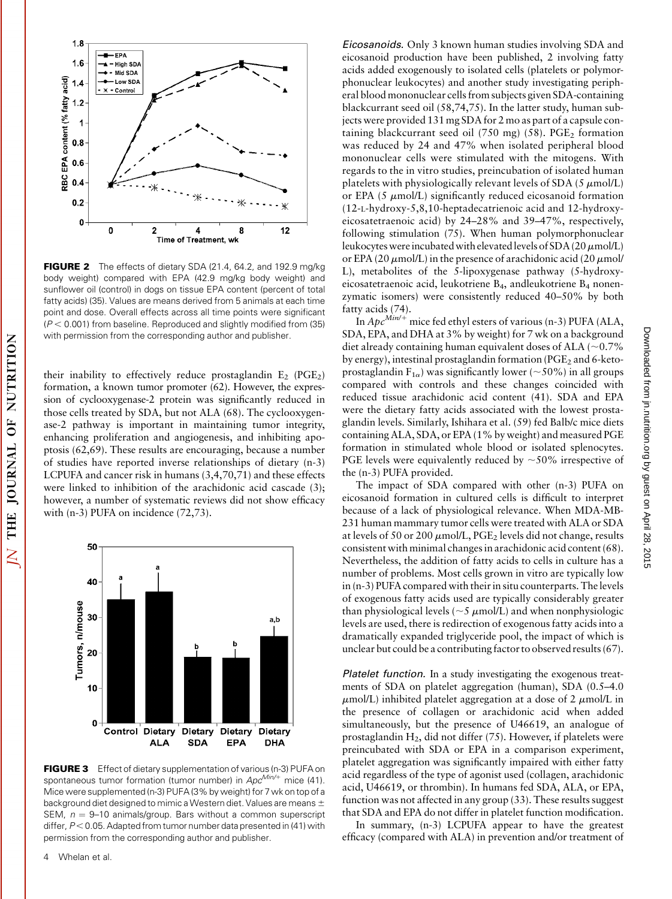

**FIGURE 2** The effects of dietary SDA (21.4, 64.2, and 192.9 mg/kg) body weight) compared with EPA (42.9 mg/kg body weight) and sunflower oil (control) in dogs on tissue EPA content (percent of total fatty acids) (35). Values are means derived from 5 animals at each time point and dose. Overall effects across all time points were significant  $(P < 0.001)$  from baseline. Reproduced and slightly modified from (35) with permission from the corresponding author and publisher.

their inability to effectively reduce prostaglandin  $E_2$  (PGE<sub>2</sub>) formation, a known tumor promoter (62). However, the expression of cyclooxygenase-2 protein was significantly reduced in those cells treated by SDA, but not ALA (68). The cyclooxygenase-2 pathway is important in maintaining tumor integrity, enhancing proliferation and angiogenesis, and inhibiting apoptosis (62,69). These results are encouraging, because a number of studies have reported inverse relationships of dietary (n-3) LCPUFA and cancer risk in humans (3,4,70,71) and these effects were linked to inhibition of the arachidonic acid cascade (3); however, a number of systematic reviews did not show efficacy with (n-3) PUFA on incidence (72,73).



FIGURE 3 Effect of dietary supplementation of various (n-3) PUFA on spontaneous tumor formation (tumor number) in  $Apc^{Min/+}$  mice (41). Mice were supplemented (n-3) PUFA (3% by weight) for 7 wk on top of a background diet designed to mimic a Western diet. Values are means  $\pm$ SEM,  $n = 9-10$  animals/group. Bars without a common superscript differ,  $P < 0.05$ . Adapted from tumor number data presented in (41) with permission from the corresponding author and publisher.

4 Whelan et al.

JOURNAL OF NUTRITION

THE

 $\overline{\Sigma}$ 

Eicosanoids. Only 3 known human studies involving SDA and eicosanoid production have been published, 2 involving fatty acids added exogenously to isolated cells (platelets or polymorphonuclear leukocytes) and another study investigating peripheral blood mononuclear cells from subjects given SDA-containing blackcurrant seed oil (58,74,75). In the latter study, human subjects were provided 131 mg SDA for 2 mo as part of a capsule containing blackcurrant seed oil (750 mg) (58).  $PGE<sub>2</sub>$  formation was reduced by 24 and 47% when isolated peripheral blood mononuclear cells were stimulated with the mitogens. With regards to the in vitro studies, preincubation of isolated human platelets with physiologically relevant levels of SDA (5  $\mu$ mol/L) or EPA (5  $\mu$ mol/L) significantly reduced eicosanoid formation (12-L-hydroxy-5,8,10-heptadecatrienoic acid and 12-hydroxyeicosatetraenoic acid) by 24–28% and 39–47%, respectively, following stimulation (75). When human polymorphonuclear leukocytes were incubated with elevated levels of SDA (20  $\mu$ mol/L) or EPA (20  $\mu$ mol/L) in the presence of arachidonic acid (20  $\mu$ mol/ L), metabolites of the 5-lipoxygenase pathway (5-hydroxyeicosatetraenoic acid, leukotriene B4, andleukotriene B4 nonenzymatic isomers) were consistently reduced 40–50% by both fatty acids (74).

In  $Apc^{\frac{Min}{+}}$  mice fed ethyl esters of various (n-3) PUFA (ALA, SDA, EPA, and DHA at 3% by weight) for 7 wk on a background diet already containing human equivalent doses of ALA ( $\sim$ 0.7%) by energy), intestinal prostaglandin formation ( $PGE_2$  and 6-ketoprostaglandin  $F_{1\alpha}$ ) was significantly lower (~50%) in all groups compared with controls and these changes coincided with reduced tissue arachidonic acid content (41). SDA and EPA were the dietary fatty acids associated with the lowest prostaglandin levels. Similarly, Ishihara et al. (59) fed Balb/c mice diets containing ALA, SDA, or EPA (1% by weight) and measured PGE formation in stimulated whole blood or isolated splenocytes. PGE levels were equivalently reduced by  $\sim$  50% irrespective of the (n-3) PUFA provided.

The impact of SDA compared with other (n-3) PUFA on eicosanoid formation in cultured cells is difficult to interpret because of a lack of physiological relevance. When MDA-MB-231 human mammary tumor cells were treated with ALA or SDA at levels of 50 or 200  $\mu$ mol/L, PGE<sub>2</sub> levels did not change, results consistent with minimal changes in arachidonic acid content (68). Nevertheless, the addition of fatty acids to cells in culture has a number of problems. Most cells grown in vitro are typically low in (n-3) PUFA compared with their in situ counterparts. The levels of exogenous fatty acids used are typically considerably greater than physiological levels ( $\sim$ 5  $\mu$ mol/L) and when nonphysiologic levels are used, there is redirection of exogenous fatty acids into a dramatically expanded triglyceride pool, the impact of which is unclear but could be a contributing factor to observed results (67).

Platelet function. In a study investigating the exogenous treatments of SDA on platelet aggregation (human), SDA (0.5–4.0  $\mu$ mol/L) inhibited platelet aggregation at a dose of 2  $\mu$ mol/L in the presence of collagen or arachidonic acid when added simultaneously, but the presence of U46619, an analogue of prostaglandin  $H_2$ , did not differ (75). However, if platelets were preincubated with SDA or EPA in a comparison experiment, platelet aggregation was significantly impaired with either fatty acid regardless of the type of agonist used (collagen, arachidonic acid, U46619, or thrombin). In humans fed SDA, ALA, or EPA, function was not affected in any group (33). These results suggest that SDA and EPA do not differ in platelet function modification.

In summary, (n-3) LCPUFA appear to have the greatest efficacy (compared with ALA) in prevention and/or treatment of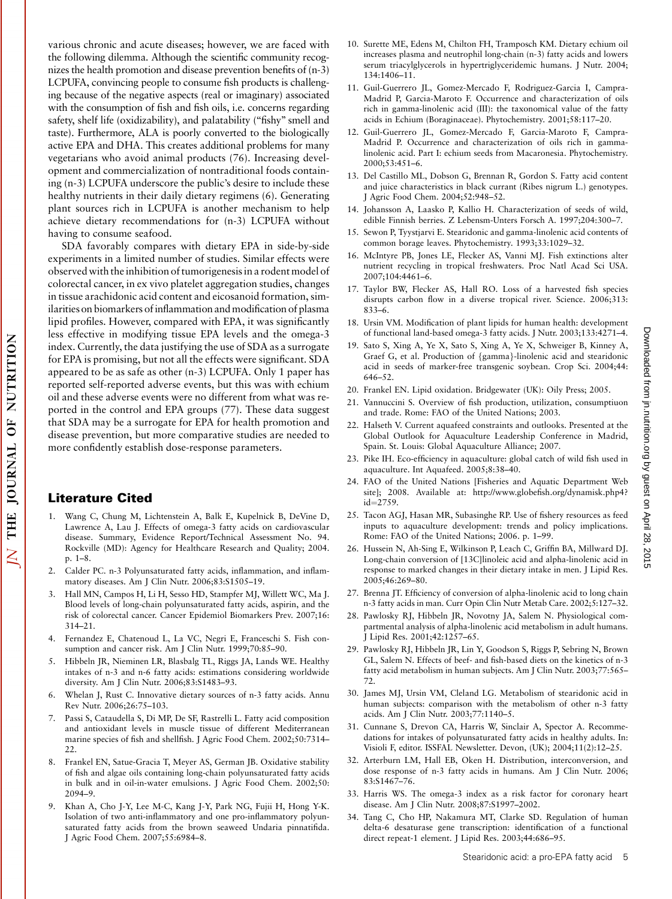various chronic and acute diseases; however, we are faced with the following dilemma. Although the scientific community recognizes the health promotion and disease prevention benefits of (n-3) LCPUFA, convincing people to consume fish products is challenging because of the negative aspects (real or imaginary) associated with the consumption of fish and fish oils, i.e. concerns regarding safety, shelf life (oxidizability), and palatability ("fishy" smell and taste). Furthermore, ALA is poorly converted to the biologically active EPA and DHA. This creates additional problems for many vegetarians who avoid animal products (76). Increasing development and commercialization of nontraditional foods containing (n-3) LCPUFA underscore the public's desire to include these healthy nutrients in their daily dietary regimens (6). Generating plant sources rich in LCPUFA is another mechanism to help achieve dietary recommendations for (n-3) LCPUFA without having to consume seafood.

SDA favorably compares with dietary EPA in side-by-side experiments in a limited number of studies. Similar effects were observed with the inhibition of tumorigenesis in a rodent model of colorectal cancer, in ex vivo platelet aggregation studies, changes in tissue arachidonic acid content and eicosanoid formation, similarities on biomarkers of inflammation and modification of plasma lipid profiles. However, compared with EPA, it was significantly less effective in modifying tissue EPA levels and the omega-3 index. Currently, the data justifying the use of SDA as a surrogate for EPA is promising, but not all the effects were significant. SDA appeared to be as safe as other (n-3) LCPUFA. Only 1 paper has reported self-reported adverse events, but this was with echium oil and these adverse events were no different from what was reported in the control and EPA groups (77). These data suggest that SDA may be a surrogate for EPA for health promotion and disease prevention, but more comparative studies are needed to more confidently establish dose-response parameters.

## Literature Cited

- 1. Wang C, Chung M, Lichtenstein A, Balk E, Kupelnick B, DeVine D, Lawrence A, Lau J. Effects of omega-3 fatty acids on cardiovascular disease. Summary, Evidence Report/Technical Assessment No. 94. Rockville (MD): Agency for Healthcare Research and Quality; 2004. p. 1–8.
- 2. Calder PC. n-3 Polyunsaturated fatty acids, inflammation, and inflammatory diseases. Am J Clin Nutr. 2006;83:S1505–19.
- 3. Hall MN, Campos H, Li H, Sesso HD, Stampfer MJ, Willett WC, Ma J. Blood levels of long-chain polyunsaturated fatty acids, aspirin, and the risk of colorectal cancer. Cancer Epidemiol Biomarkers Prev. 2007;16: 314–21.
- 4. Fernandez E, Chatenoud L, La VC, Negri E, Franceschi S. Fish consumption and cancer risk. Am J Clin Nutr. 1999;70:85–90.
- 5. Hibbeln JR, Nieminen LR, Blasbalg TL, Riggs JA, Lands WE. Healthy intakes of n-3 and n-6 fatty acids: estimations considering worldwide diversity. Am J Clin Nutr. 2006;83:S1483–93.
- 6. Whelan J, Rust C. Innovative dietary sources of n-3 fatty acids. Annu Rev Nutr. 2006;26:75–103.
- 7. Passi S, Cataudella S, Di MP, De SF, Rastrelli L. Fatty acid composition and antioxidant levels in muscle tissue of different Mediterranean marine species of fish and shellfish. J Agric Food Chem. 2002;50:7314– 22.
- 8. Frankel EN, Satue-Gracia T, Meyer AS, German JB. Oxidative stability of fish and algae oils containing long-chain polyunsaturated fatty acids in bulk and in oil-in-water emulsions. J Agric Food Chem. 2002;50: 2094–9.
- 9. Khan A, Cho J-Y, Lee M-C, Kang J-Y, Park NG, Fujii H, Hong Y-K. Isolation of two anti-inflammatory and one pro-inflammatory polyunsaturated fatty acids from the brown seaweed Undaria pinnatifida. J Agric Food Chem. 2007;55:6984–8.
- 10. Surette ME, Edens M, Chilton FH, Tramposch KM. Dietary echium oil increases plasma and neutrophil long-chain (n-3) fatty acids and lowers serum triacylglycerols in hypertriglyceridemic humans. J Nutr. 2004; 134:1406–11.
- 11. Guil-Guerrero JL, Gomez-Mercado F, Rodriguez-Garcia I, Campra-Madrid P, Garcia-Maroto F. Occurrence and characterization of oils rich in gamma-linolenic acid (III): the taxonomical value of the fatty acids in Echium (Boraginaceae). Phytochemistry. 2001;58:117–20.
- 12. Guil-Guerrero JL, Gomez-Mercado F, Garcia-Maroto F, Campra-Madrid P. Occurrence and characterization of oils rich in gammalinolenic acid. Part I: echium seeds from Macaronesia. Phytochemistry. 2000;53:451–6.
- 13. Del Castillo ML, Dobson G, Brennan R, Gordon S. Fatty acid content and juice characteristics in black currant (Ribes nigrum L.) genotypes. J Agric Food Chem. 2004;52:948–52.
- 14. Johansson A, Laasko P, Kallio H. Characterization of seeds of wild, edible Finnish berries. Z Lebensm-Unters Forsch A. 1997;204:300–7.
- 15. Sewon P, Tyystjarvi E. Stearidonic and gamma-linolenic acid contents of common borage leaves. Phytochemistry. 1993;33:1029–32.
- 16. McIntyre PB, Jones LE, Flecker AS, Vanni MJ. Fish extinctions alter nutrient recycling in tropical freshwaters. Proc Natl Acad Sci USA. 2007;104:4461–6.
- 17. Taylor BW, Flecker AS, Hall RO. Loss of a harvested fish species disrupts carbon flow in a diverse tropical river. Science. 2006;313: 833–6.
- 18. Ursin VM. Modification of plant lipids for human health: development of functional land-based omega-3 fatty acids. J Nutr. 2003;133:4271–4.
- 19. Sato S, Xing A, Ye X, Sato S, Xing A, Ye X, Schweiger B, Kinney A, Graef G, et al. Production of {gamma}-linolenic acid and stearidonic acid in seeds of marker-free transgenic soybean. Crop Sci. 2004;44: 646–52.
- 20. Frankel EN. Lipid oxidation. Bridgewater (UK): Oily Press; 2005.
- 21. Vannuccini S. Overview of fish production, utilization, consumptiuon and trade. Rome: FAO of the United Nations; 2003.
- 22. Halseth V. Current aquafeed constraints and outlooks. Presented at the Global Outlook for Aquaculture Leadership Conference in Madrid, Spain. St. Louis: Global Aquaculture Alliance; 2007.
- 23. Pike IH. Eco-efficiency in aquaculture: global catch of wild fish used in aquaculture. Int Aquafeed. 2005;8:38–40.
- 24. FAO of the United Nations [Fisheries and Aquatic Department Web site]; 2008. Available at: http://www.globefish.org/dynamisk.php4? id=2759.
- 25. Tacon AGJ, Hasan MR, Subasinghe RP. Use of fishery resources as feed inputs to aquaculture development: trends and policy implications. Rome: FAO of the United Nations; 2006. p. 1–99.
- 26. Hussein N, Ah-Sing E, Wilkinson P, Leach C, Griffin BA, Millward DJ. Long-chain conversion of [13C]linoleic acid and alpha-linolenic acid in response to marked changes in their dietary intake in men. J Lipid Res. 2005;46:269–80.
- 27. Brenna JT. Efficiency of conversion of alpha-linolenic acid to long chain n-3 fatty acids in man. Curr Opin Clin Nutr Metab Care. 2002;5:127–32.
- 28. Pawlosky RJ, Hibbeln JR, Novotny JA, Salem N. Physiological compartmental analysis of alpha-linolenic acid metabolism in adult humans. J Lipid Res. 2001;42:1257–65.
- 29. Pawlosky RJ, Hibbeln JR, Lin Y, Goodson S, Riggs P, Sebring N, Brown GL, Salem N. Effects of beef- and fish-based diets on the kinetics of n-3 fatty acid metabolism in human subjects. Am J Clin Nutr. 2003;77:565– 72.
- 30. James MJ, Ursin VM, Cleland LG. Metabolism of stearidonic acid in human subjects: comparison with the metabolism of other n-3 fatty acids. Am J Clin Nutr. 2003;77:1140–5.
- 31. Cunnane S, Drevon CA, Harris W, Sinclair A, Spector A. Recommedations for intakes of polyunsaturated fatty acids in healthy adults. In: Visioli F, editor. ISSFAL Newsletter. Devon, (UK); 2004;11(2):12–25.
- 32. Arterburn LM, Hall EB, Oken H. Distribution, interconversion, and dose response of n-3 fatty acids in humans. Am J Clin Nutr. 2006; 83:S1467–76.
- 33. Harris WS. The omega-3 index as a risk factor for coronary heart disease. Am J Clin Nutr. 2008;87:S1997–2002.
- 34. Tang C, Cho HP, Nakamura MT, Clarke SD. Regulation of human delta-6 desaturase gene transcription: identification of a functional direct repeat-1 element. J Lipid Res. 2003;44:686–95.